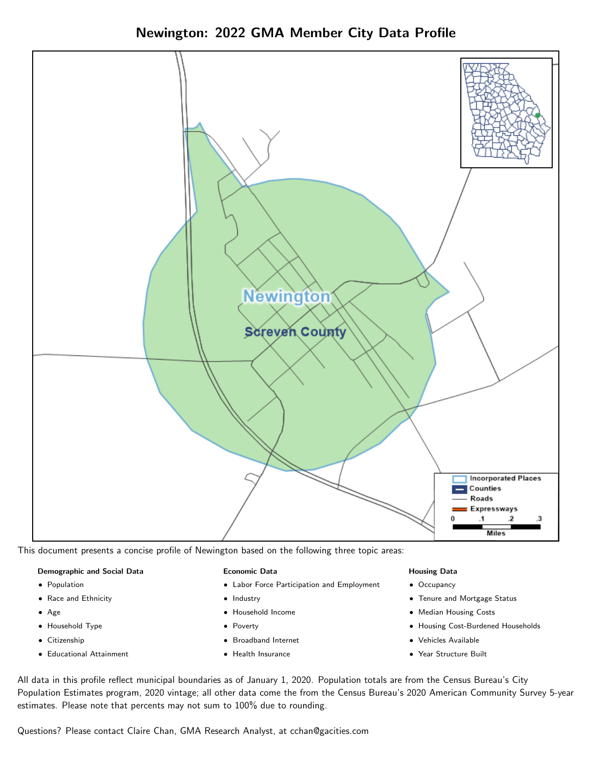Newington: 2022 GMA Member City Data Profile



This document presents a concise profile of Newington based on the following three topic areas:

### Demographic and Social Data

- **•** Population
- Race and Ethnicity
- Age
- Household Type
- **Citizenship**
- Educational Attainment

### Economic Data

- Labor Force Participation and Employment
- Industry
- Household Income
- Poverty
- Broadband Internet
- Health Insurance

### Housing Data

- Occupancy
- Tenure and Mortgage Status
- Median Housing Costs
- Housing Cost-Burdened Households
- Vehicles Available
- Year Structure Built

All data in this profile reflect municipal boundaries as of January 1, 2020. Population totals are from the Census Bureau's City Population Estimates program, 2020 vintage; all other data come the from the Census Bureau's 2020 American Community Survey 5-year estimates. Please note that percents may not sum to 100% due to rounding.

Questions? Please contact Claire Chan, GMA Research Analyst, at [cchan@gacities.com.](mailto:cchan@gacities.com)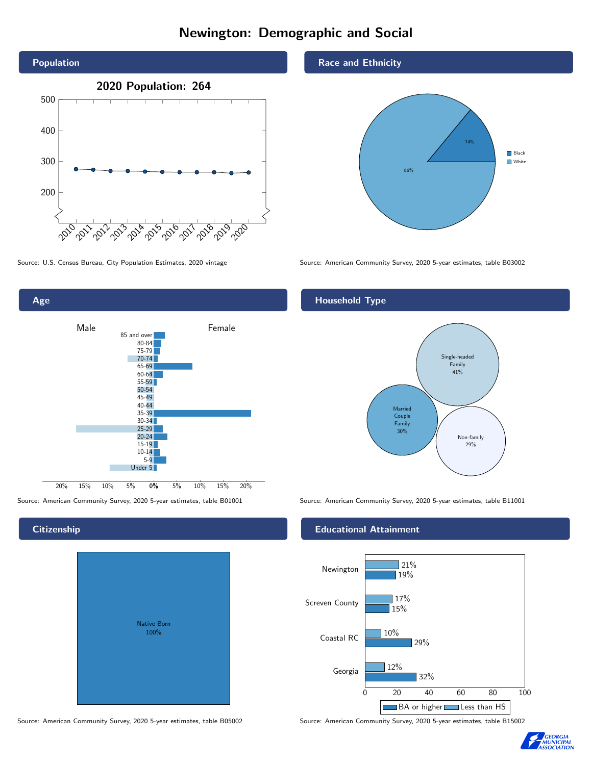# Newington: Demographic and Social





## **Citizenship**

| Native Born<br>100% |  |
|---------------------|--|

Source: American Community Survey, 2020 5-year estimates, table B05002 Source: American Community Survey, 2020 5-year estimates, table B15002

#### Race and Ethnicity



Source: U.S. Census Bureau, City Population Estimates, 2020 vintage Source: American Community Survey, 2020 5-year estimates, table B03002

## Household Type



Source: American Community Survey, 2020 5-year estimates, table B01001 Source: American Community Survey, 2020 5-year estimates, table B11001

### Educational Attainment



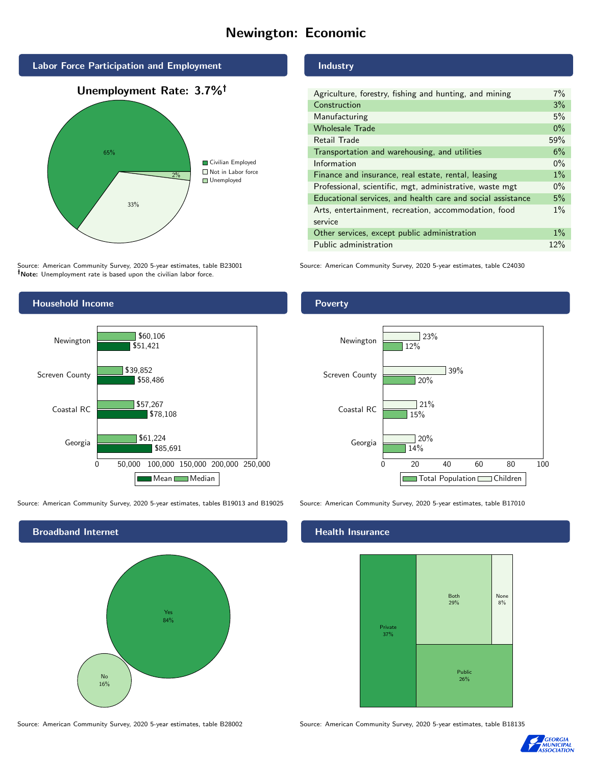# Newington: Economic





Source: American Community Survey, 2020 5-year estimates, table B23001 Note: Unemployment rate is based upon the civilian labor force.

#### Industry

| Agriculture, forestry, fishing and hunting, and mining      | $7\%$ |
|-------------------------------------------------------------|-------|
| Construction                                                | 3%    |
| Manufacturing                                               | 5%    |
| <b>Wholesale Trade</b>                                      | $0\%$ |
| Retail Trade                                                | 59%   |
| Transportation and warehousing, and utilities               |       |
| Information                                                 | $0\%$ |
| Finance and insurance, real estate, rental, leasing         |       |
| Professional, scientific, mgt, administrative, waste mgt    |       |
| Educational services, and health care and social assistance |       |
| Arts, entertainment, recreation, accommodation, food        |       |
| service                                                     |       |
| Other services, except public administration                |       |
| Public administration                                       |       |

Source: American Community Survey, 2020 5-year estimates, table C24030



Source: American Community Survey, 2020 5-year estimates, tables B19013 and B19025 Source: American Community Survey, 2020 5-year estimates, table B17010



#### Health Insurance



Source: American Community Survey, 2020 5-year estimates, table B28002 Source: American Community Survey, 2020 5-year estimates, table B18135